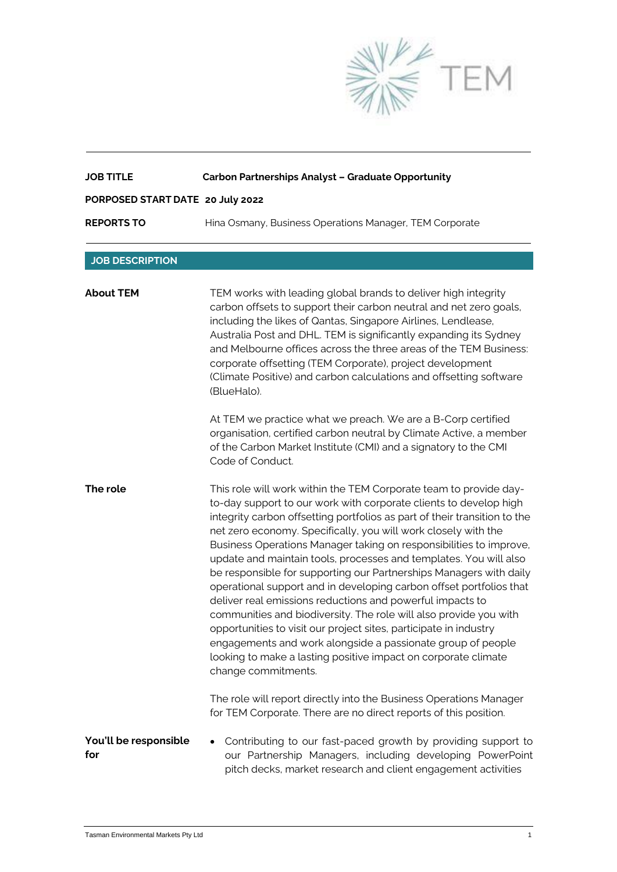

| <b>JOB TITLE</b>                 | <b>Carbon Partnerships Analyst - Graduate Opportunity</b>                                                                                                                                                                                                                                                                                                                                                                                                                                                                                                                                                                                                                                                                                                                                                                                                                                                                                    |
|----------------------------------|----------------------------------------------------------------------------------------------------------------------------------------------------------------------------------------------------------------------------------------------------------------------------------------------------------------------------------------------------------------------------------------------------------------------------------------------------------------------------------------------------------------------------------------------------------------------------------------------------------------------------------------------------------------------------------------------------------------------------------------------------------------------------------------------------------------------------------------------------------------------------------------------------------------------------------------------|
| PORPOSED START DATE 20 July 2022 |                                                                                                                                                                                                                                                                                                                                                                                                                                                                                                                                                                                                                                                                                                                                                                                                                                                                                                                                              |
| <b>REPORTS TO</b>                | Hina Osmany, Business Operations Manager, TEM Corporate                                                                                                                                                                                                                                                                                                                                                                                                                                                                                                                                                                                                                                                                                                                                                                                                                                                                                      |
| <b>JOB DESCRIPTION</b>           |                                                                                                                                                                                                                                                                                                                                                                                                                                                                                                                                                                                                                                                                                                                                                                                                                                                                                                                                              |
| <b>About TEM</b>                 | TEM works with leading global brands to deliver high integrity<br>carbon offsets to support their carbon neutral and net zero goals,<br>including the likes of Qantas, Singapore Airlines, Lendlease,<br>Australia Post and DHL. TEM is significantly expanding its Sydney<br>and Melbourne offices across the three areas of the TEM Business:<br>corporate offsetting (TEM Corporate), project development<br>(Climate Positive) and carbon calculations and offsetting software<br>(BlueHalo).                                                                                                                                                                                                                                                                                                                                                                                                                                            |
|                                  | At TEM we practice what we preach. We are a B-Corp certified<br>organisation, certified carbon neutral by Climate Active, a member<br>of the Carbon Market Institute (CMI) and a signatory to the CMI<br>Code of Conduct.                                                                                                                                                                                                                                                                                                                                                                                                                                                                                                                                                                                                                                                                                                                    |
| The role                         | This role will work within the TEM Corporate team to provide day-<br>to-day support to our work with corporate clients to develop high<br>integrity carbon offsetting portfolios as part of their transition to the<br>net zero economy. Specifically, you will work closely with the<br>Business Operations Manager taking on responsibilities to improve,<br>update and maintain tools, processes and templates. You will also<br>be responsible for supporting our Partnerships Managers with daily<br>operational support and in developing carbon offset portfolios that<br>deliver real emissions reductions and powerful impacts to<br>communities and biodiversity. The role will also provide you with<br>opportunities to visit our project sites, participate in industry<br>engagements and work alongside a passionate group of people<br>looking to make a lasting positive impact on corporate climate<br>change commitments. |
|                                  | The role will report directly into the Business Operations Manager<br>for TEM Corporate. There are no direct reports of this position.                                                                                                                                                                                                                                                                                                                                                                                                                                                                                                                                                                                                                                                                                                                                                                                                       |
| You'll be responsible<br>for     | Contributing to our fast-paced growth by providing support to<br>our Partnership Managers, including developing PowerPoint<br>pitch decks, market research and client engagement activities                                                                                                                                                                                                                                                                                                                                                                                                                                                                                                                                                                                                                                                                                                                                                  |